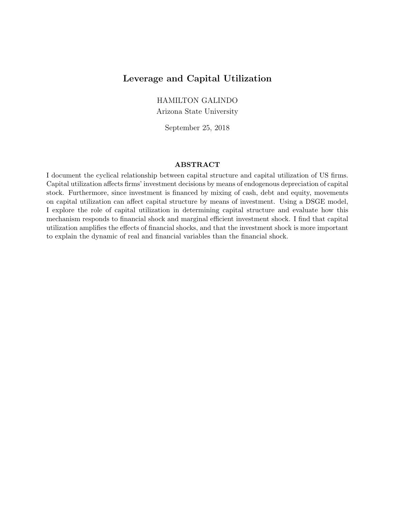# Leverage and Capital Utilization

HAMILTON GALINDO

Arizona State University

September 25, 2018

## ABSTRACT

I document the cyclical relationship between capital structure and capital utilization of US firms. Capital utilization affects firms' investment decisions by means of endogenous depreciation of capital stock. Furthermore, since investment is financed by mixing of cash, debt and equity, movements on capital utilization can affect capital structure by means of investment. Using a DSGE model, I explore the role of capital utilization in determining capital structure and evaluate how this mechanism responds to financial shock and marginal efficient investment shock. I find that capital utilization amplifies the effects of financial shocks, and that the investment shock is more important to explain the dynamic of real and financial variables than the financial shock.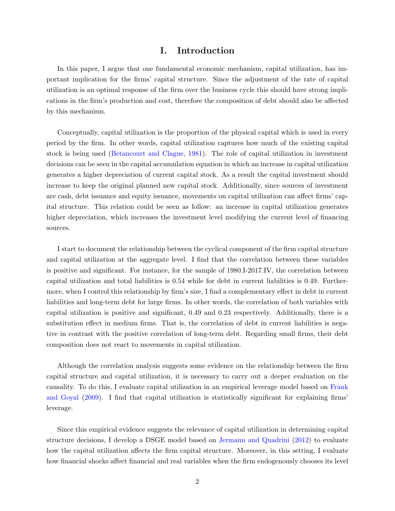## I. Introduction

In this paper, I argue that one fundamental economic mechanism, capital utilization, has important implication for the firms' capital structure. Since the adjustment of the rate of capital utilization is an optimal response of the firm over the business cycle this should have strong implications in the firm's production and cost, therefore the composition of debt should also be affected by this mechanism.

Conceptually, capital utilization is the proportion of the physical capital which is used in every period by the firm. In other words, capital utilization captures how much of the existing capital stock is being used [\(Betancourt and Clague,](#page-22-0) [1981\)](#page-22-0). The role of capital utilization in investment decisions can be seen in the capital accumulation equation in which an increase in capital utilization generates a higher depreciation of current capital stock. As a result the capital investment should increase to keep the original planned new capital stock. Additionally, since sources of investment are cash, debt issuance and equity issuance, movements on capital utilization can affect firms' capital structure. This relation could be seen as follow: an increase in capital utilization generates higher depreciation, which increases the investment level modifying the current level of financing sources.

I start to document the relationship between the cyclical component of the firm capital structure and capital utilization at the aggregate level. I find that the correlation between these variables is positive and significant. For instance, for the sample of 1980.I-2017.IV, the correlation between capital utilization and total liabilities is 0.54 while for debt in current liabilities is 0.49. Furthermore, when I control this relationship by firm's size, I find a complementary effect in debt in current liabilities and long-term debt for large firms. In other words, the correlation of both variables with capital utilization is positive and significant, 0.49 and 0.23 respectively. Additionally, there is a substitution effect in medium firms. That is, the correlation of debt in current liabilities is negative in contrast with the positive correlation of long-term debt. Regarding small firms, their debt composition does not react to movements in capital utilization.

Although the correlation analysis suggests some evidence on the relationship between the firm capital structure and capital utilization, it is necessary to carry out a deeper evaluation on the causality. To do this, I evaluate capital utilization in an empirical leverage model based on [Frank](#page-22-1) [and Goyal](#page-22-1) [\(2009\)](#page-22-1). I find that capital utilization is statistically significant for explaining firms' leverage.

Since this empirical evidence suggests the relevance of capital utilization in determining capital structure decisions, I develop a DSGE model based on [Jermann and Quadrini](#page-22-2) [\(2012\)](#page-22-2) to evaluate how the capital utilization affects the firm capital structure. Moreover, in this setting, I evaluate how financial shocks affect financial and real variables when the firm endogenously chooses its level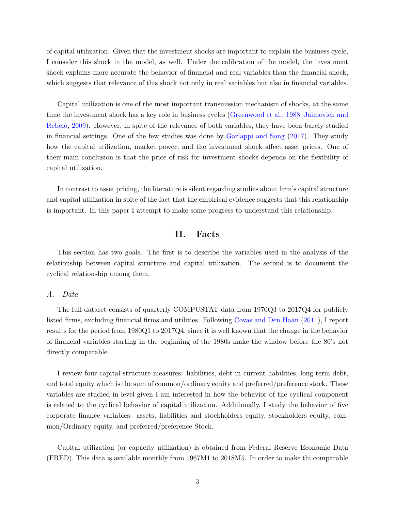of capital utilization. Given that the investment shocks are important to explain the business cycle, I consider this shock in the model, as well. Under the calibration of the model, the investment shock explains more accurate the behavior of financial and real variables than the financial shock, which suggests that relevance of this shock not only in real variables but also in financial variables.

Capital utilization is one of the most important transmission mechanism of shocks, at the same time the investment shock has a key role in business cycles [\(Greenwood et al.,](#page-22-3) [1988;](#page-22-3) [Jaimovich and](#page-22-4) [Rebelo,](#page-22-4) [2009\)](#page-22-4). However, in spite of the relevance of both variables, they have been barely studied in financial settings. One of the few studies was done by [Garlappi and Song](#page-22-5) [\(2017\)](#page-22-5). They study how the capital utilization, market power, and the investment shock affect asset prices. One of their main conclusion is that the price of risk for investment shocks depends on the flexibility of capital utilization.

In contrast to asset pricing, the literature is silent regarding studies about firm's capital structure and capital utilization in spite of the fact that the empirical evidence suggests that this relationship is important. In this paper I attempt to make some progress to understand this relationship.

## II. Facts

This section has two goals. The first is to describe the variables used in the analysis of the relationship between capital structure and capital utilization. The second is to document the cyclical relationship among them.

## A. Data

The full dataset consists of quarterly COMPUSTAT data from 1970Q3 to 2017Q4 for publicly listed firms, excluding financial firms and utilities. Following [Covas and Den Haan](#page-22-6) [\(2011\)](#page-22-6), I report results for the period from 1980Q1 to 2017Q4, since it is well known that the change in the behavior of financial variables starting in the beginning of the 1980s make the window before the 80's not directly comparable.

I review four capital structure measures: liabilities, debt in current liabilities, long-term debt, and total equity which is the sum of common/ordinary equity and preferred/preference stock. These variables are studied in level given I am interested in how the behavior of the cyclical component is related to the cyclical behavior of capital utilization. Additionally, I study the behavior of five corporate finance variables: assets, liabilities and stockholders equity, stockholders equity, common/Ordinary equity, and preferred/preference Stock.

Capital utilization (or capacity utilization) is obtained from Federal Reserve Economic Data (FRED). This data is available monthly from 1967M1 to 2018M5. In order to make thi comparable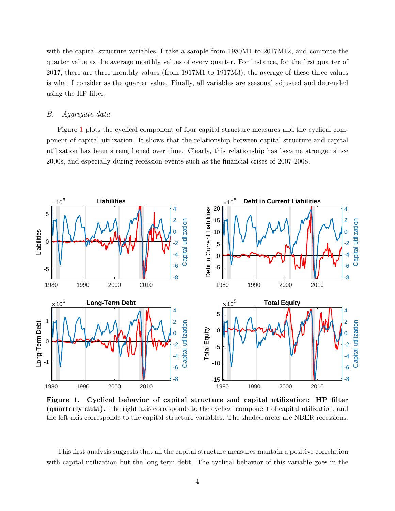with the capital structure variables, I take a sample from 1980M1 to 2017M12, and compute the quarter value as the average monthly values of every quarter. For instance, for the first quarter of 2017, there are three monthly values (from 1917M1 to 1917M3), the average of these three values is what I consider as the quarter value. Finally, all variables are seasonal adjusted and detrended using the HP filter.

### B. Aggregate data

Figure [1](#page-3-0) plots the cyclical component of four capital structure measures and the cyclical component of capital utilization. It shows that the relationship between capital structure and capital utilization has been strengthened over time. Clearly, this relationship has became stronger since 2000s, and especially during recession events such as the financial crises of 2007-2008.

<span id="page-3-0"></span>

Figure 1. Cyclical behavior of capital structure and capital utilization: HP filter (quarterly data). The right axis corresponds to the cyclical component of capital utilization, and the left axis corresponds to the capital structure variables. The shaded areas are NBER recessions.

This first analysis suggests that all the capital structure measures mantain a positive correlation with capital utilization but the long-term debt. The cyclical behavior of this variable goes in the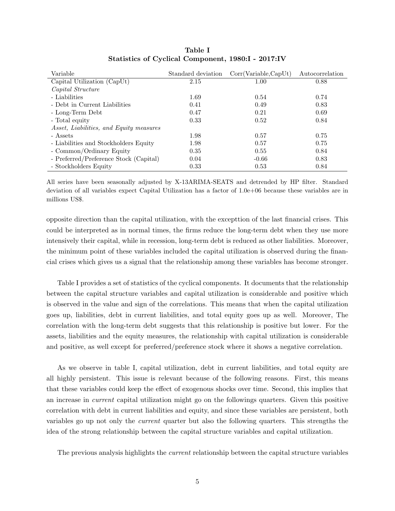| Variable                                | Standard deviation | Corr(Variable, CapUt) | Autocorrelation |
|-----------------------------------------|--------------------|-----------------------|-----------------|
| Capital Utilization (CapUt)             | 2.15               | 1.00                  | 0.88            |
| Capital Structure                       |                    |                       |                 |
| - Liabilities                           | 1.69               | 0.54                  | 0.74            |
| - Debt in Current Liabilities           | 0.41               | 0.49                  | 0.83            |
| - Long-Term Debt                        | 0.47               | 0.21                  | 0.69            |
| - Total equity                          | 0.33               | 0.52                  | 0.84            |
| Asset, Liabilities, and Equity measures |                    |                       |                 |
| - Assets                                | 1.98               | 0.57                  | 0.75            |
| - Liabilities and Stockholders Equity   | 1.98               | 0.57                  | 0.75            |
| - Common/Ordinary Equity                | 0.35               | 0.55                  | 0.84            |
| - Preferred/Preference Stock (Capital)  | 0.04               | $-0.66$               | 0.83            |
| - Stockholders Equity                   | 0.33               | 0.53                  | 0.84            |

Table I Statistics of Cyclical Component, 1980:I - 2017:IV

All series have been seasonally adjusted by X-13ARIMA-SEATS and detrended by HP filter. Standard deviation of all variables expect Capital Utilization has a factor of 1.0e+06 because these variables are in millions US\$.

opposite direction than the capital utilization, with the excepttion of the last financial crises. This could be interpreted as in normal times, the firms reduce the long-term debt when they use more intensively their capital, while in recession, long-term debt is reduced as other liabilities. Moreover, the minimum point of these variables included the capital utilization is observed during the financial crises which gives us a signal that the relationship among these variables has become stronger.

Table I provides a set of statistics of the cyclical components. It documents that the relationship between the capital structure variables and capital utilization is considerable and positive which is observed in the value and sign of the correlations. This means that when the capital utilization goes up, liabilities, debt in current liabilities, and total equity goes up as well. Moreover, The correlation with the long-term debt suggests that this relationship is positive but lower. For the assets, liabilities and the equity measures, the relationship with capital utilization is considerable and positive, as well except for preferred/preference stock where it shows a negative correlation.

As we observe in table I, capital utilization, debt in current liabilities, and total equity are all highly persistent. This issue is relevant because of the following reasons. First, this means that these variables could keep the effect of exogenous shocks over time. Second, this implies that an increase in current capital utilization might go on the followings quarters. Given this positive correlation with debt in current liabilities and equity, and since these variables are persistent, both variables go up not only the current quarter but also the following quarters. This strengths the idea of the strong relationship between the capital structure variables and capital utilization.

The previous analysis highlights the *current* relationship between the capital structure variables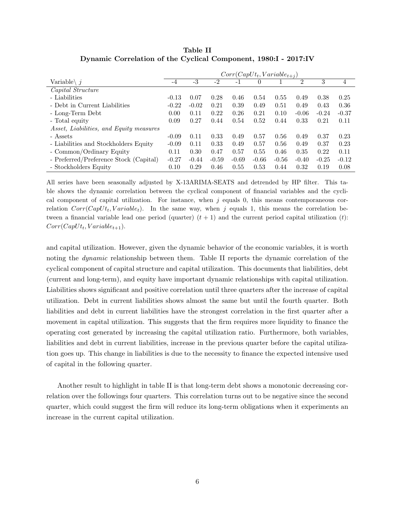|                                                | $Corr(CapUt_t, Variable_{t+1})$ |         |         |         |          |         |         |         |         |
|------------------------------------------------|---------------------------------|---------|---------|---------|----------|---------|---------|---------|---------|
| Variable $\langle i \rangle$                   | -4                              | $-3$    | -2      | $-1$    | $\theta$ |         | 2       | 3       | 4       |
| Capital Structure                              |                                 |         |         |         |          |         |         |         |         |
| - Liabilities                                  | $-0.13$                         | 0.07    | 0.28    | 0.46    | 0.54     | 0.55    | 0.49    | 0.38    | 0.25    |
| - Debt in Current Liabilities                  | $-0.22$                         | $-0.02$ | 0.21    | 0.39    | 0.49     | 0.51    | 0.49    | 0.43    | 0.36    |
| - Long-Term Debt                               | 0.00                            | 0.11    | 0.22    | 0.26    | 0.21     | 0.10    | $-0.06$ | $-0.24$ | $-0.37$ |
| - Total equity                                 | 0.09                            | 0.27    | 0.44    | 0.54    | 0.52     | 0.44    | 0.33    | 0.21    | 0.11    |
| <i>Asset, Liabilities, and Equity measures</i> |                                 |         |         |         |          |         |         |         |         |
| - Assets                                       | $-0.09$                         | 0.11    | 0.33    | 0.49    | 0.57     | 0.56    | 0.49    | 0.37    | 0.23    |
| - Liabilities and Stockholders Equity          | $-0.09$                         | 0.11    | 0.33    | 0.49    | 0.57     | 0.56    | 0.49    | 0.37    | 0.23    |
| - Common/Ordinary Equity                       | 0.11                            | 0.30    | 0.47    | 0.57    | 0.55     | 0.46    | 0.35    | 0.22    | 0.11    |
| - Preferred/Preference Stock (Capital)         | $-0.27$                         | $-0.44$ | $-0.59$ | $-0.69$ | $-0.66$  | $-0.56$ | $-0.40$ | $-0.25$ | $-0.12$ |
| - Stockholders Equity                          | 0.10                            | 0.29    | 0.46    | 0.55    | 0.53     | 0.44    | 0.32    | 0.19    | 0.08    |

Table II Dynamic Correlation of the Cyclical Component, 1980:I - 2017:IV

All series have been seasonally adjusted by X-13ARIMA-SEATS and detrended by HP filter. This table shows the dynamic correlation between the cyclical component of financial variables and the cyclical component of capital utilization. For instance, when  $j$  equals  $0$ , this means contemporaneous correlation  $Corr(CapUt_t, Variable_t)$ . In the same way, when j equals 1, this means the correlation between a financial variable lead one period (quarter)  $(t + 1)$  and the current period capital utilization  $(t)$ :  $Corr(CapUt_t, Variable_{t+1}).$ 

and capital utilization. However, given the dynamic behavior of the economic variables, it is worth noting the *dynamic* relationship between them. Table II reports the dynamic correlation of the cyclical component of capital structure and capital utilization. This documents that liabilities, debt (current and long-term), and equity have important dynamic relationships with capital utilization. Liabilities shows significant and positive correlation until three quarters after the increase of capital utilization. Debt in current liabilities shows almost the same but until the fourth quarter. Both liabilities and debt in current liabilities have the strongest correlation in the first quarter after a movement in capital utilization. This suggests that the firm requires more liquidity to finance the operating cost generated by increasing the capital utilization ratio. Furthermore, both variables, liabilities and debt in current liabilities, increase in the previous quarter before the capital utilization goes up. This change in liabilities is due to the necessity to finance the expected intensive used of capital in the following quarter.

Another result to highlight in table II is that long-term debt shows a monotonic decreasing correlation over the followings four quarters. This correlation turns out to be negative since the second quarter, which could suggest the firm will reduce its long-term obligations when it experiments an increase in the current capital utilization.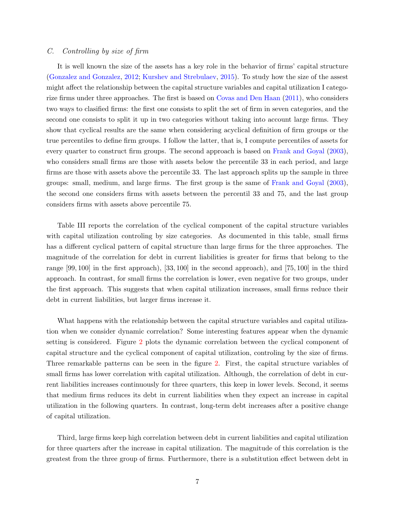## C. Controlling by size of firm

It is well known the size of the assets has a key role in the behavior of firms' capital structure [\(Gonzalez and Gonzalez,](#page-22-7) [2012;](#page-22-7) [Kurshev and Strebulaev,](#page-22-8) [2015\)](#page-22-8). To study how the size of the assest might affect the relationship between the capital structure variables and capital utilization I categorize firms under three approaches. The first is based on [Covas and Den Haan](#page-22-6) [\(2011\)](#page-22-6), who considers two ways to clasified firms: the first one consists to split the set of firm in seven categories, and the second one consists to split it up in two categories without taking into account large firms. They show that cyclical results are the same when considering acyclical definition of firm groups or the true percentiles to define firm groups. I follow the latter, that is, I compute percentiles of assets for every quarter to construct firm groups. The second approach is based on [Frank and Goyal](#page-22-9) [\(2003\)](#page-22-9), who considers small firms are those with assets below the percentile 33 in each period, and large firms are those with assets above the percentile 33. The last approach splits up the sample in three groups: small, medium, and large firms. The first group is the same of [Frank and Goyal](#page-22-9) [\(2003\)](#page-22-9), the second one considers firms with assets between the percentil 33 and 75, and the last group considers firms with assets above percentile 75.

Table III reports the correlation of the cyclical component of the capital structure variables with capital utilization controling by size categories. As documented in this table, small firms has a different cyclical pattern of capital structure than large firms for the three approaches. The magnitude of the correlation for debt in current liabilities is greater for firms that belong to the range [99, 100] in the first approach), [33, 100] in the second approach), and [75, 100] in the third approach. In contrast, for small firms the correlation is lower, even negative for two groups, under the first approach. This suggests that when capital utilization increases, small firms reduce their debt in current liabilities, but larger firms increase it.

What happens with the relationship between the capital structure variables and capital utilization when we consider dynamic correlation? Some interesting features appear when the dynamic setting is considered. Figure [2](#page-8-0) plots the dynamic correlation between the cyclical component of capital structure and the cyclical component of capital utilization, controling by the size of firms. Three remarkable patterns can be seen in the figure [2.](#page-8-0) First, the capital structure variables of small firms has lower correlation with capital utilization. Although, the correlation of debt in current liabilities increases continuously for three quarters, this keep in lower levels. Second, it seems that medium firms reduces its debt in current liabilities when they expect an increase in capital utilization in the following quarters. In contrast, long-term debt increases after a positive change of capital utilization.

Third, large firms keep high correlation between debt in current liabilities and capital utilization for three quarters after the increase in capital utilization. The magnitude of this correlation is the greatest from the three group of firms. Furthermore, there is a substitution effect between debt in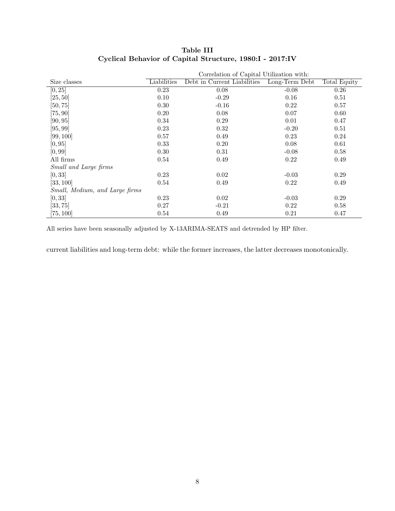|                                | Correlation of Capital Utilization with: |                             |                |              |  |  |
|--------------------------------|------------------------------------------|-----------------------------|----------------|--------------|--|--|
| Size classes                   | Liabilities                              | Debt in Current Liabilities | Long-Term Debt | Total Equity |  |  |
| [0, 25]                        | 0.23                                     | 0.08                        | $-0.08$        | 0.26         |  |  |
| [25, 50]                       | 0.10                                     | $-0.29$                     | 0.16           | 0.51         |  |  |
| [50, 75]                       | 0.30                                     | $-0.16$                     | 0.22           | 0.57         |  |  |
| [75, 90]                       | 0.20                                     | 0.08                        | 0.07           | 0.60         |  |  |
| [90, 95]                       | 0.34                                     | 0.29                        | 0.01           | 0.47         |  |  |
| [95, 99]                       | 0.23                                     | 0.32                        | $-0.20$        | 0.51         |  |  |
| [99, 100]                      | 0.57                                     | 0.49                        | 0.23           | 0.24         |  |  |
| [0, 95]                        | 0.33                                     | 0.20                        | 0.08           | 0.61         |  |  |
| [0, 99]                        | 0.30                                     | 0.31                        | $-0.08$        | 0.58         |  |  |
| All firms                      | 0.54                                     | 0.49                        | 0.22           | 0.49         |  |  |
| Small and Large firms          |                                          |                             |                |              |  |  |
| [0, 33]                        | 0.23                                     | 0.02                        | $-0.03$        | 0.29         |  |  |
| [33, 100]                      | 0.54                                     | 0.49                        | 0.22           | 0.49         |  |  |
| Small, Medium, and Large firms |                                          |                             |                |              |  |  |
| [0, 33]                        | 0.23                                     | 0.02                        | $-0.03$        | 0.29         |  |  |
| [33, 75]                       | 0.27                                     | $-0.21$                     | 0.22           | 0.58         |  |  |
| [75, 100]                      | 0.54                                     | 0.49                        | 0.21           | 0.47         |  |  |

## Table III Cyclical Behavior of Capital Structure, 1980:I - 2017:IV

All series have been seasonally adjusted by X-13ARIMA-SEATS and detrended by HP filter.

current liabilities and long-term debt: while the former increases, the latter decreases monotonically.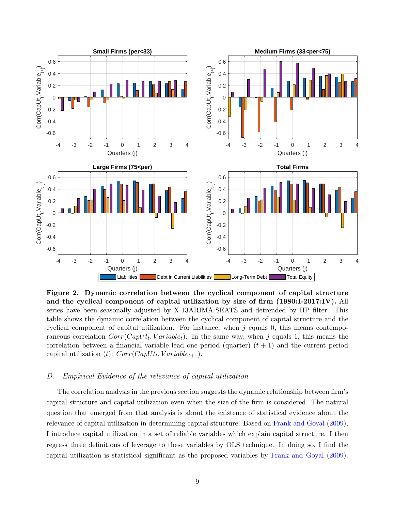<span id="page-8-0"></span>

Figure 2. Dynamic correlation between the cyclical component of capital structure and the cyclical component of capital utilization by size of firm (1980:I-2017:IV). All series have been seasonally adjusted by X-13ARIMA-SEATS and detrended by HP filter. This table shows the dynamic correlation between the cyclical component of capital structure and the cyclical component of capital utilization. For instance, when  $j$  equals 0, this means contemporaneous correlation  $Corr(CapUt_t, Variable_t)$ . In the same way, when j equals 1, this means the correlation between a financial variable lead one period (quarter)  $(t + 1)$  and the current period capital utilization (*t*):  $Corr(CapUt_t, Variable_{t+1}).$ 

### D. Empirical Evidence of the relevance of capital utilization

The correlation analysis in the previous section suggests the dynamic relationship between firm's capital structure and capital utilization even when the size of the firm is considered. The natural question that emerged from that analysis is about the existence of statistical evidence about the relevance of capital utilization in determining capital structure. Based on [Frank and Goyal](#page-22-1) [\(2009\)](#page-22-1), I introduce capital utilization in a set of reliable variables which explain capital structure. I then regress three definitions of leverage to these variables by OLS technique. In doing so, I find the capital utilization is statistical significant as the proposed variables by [Frank and Goyal](#page-22-1) [\(2009\)](#page-22-1).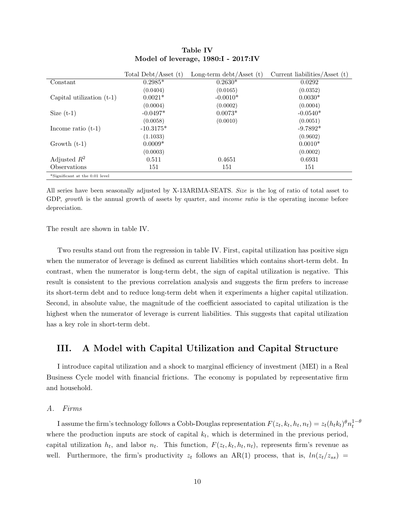|                                | Total Debt/Asset $(t)$ | Long-term $\text{debt}/\text{A}\text{sset}$ (t) | Current liabilities/Asset $(t)$ |
|--------------------------------|------------------------|-------------------------------------------------|---------------------------------|
| Constant                       | $0.2985*$              | $0.2630*$                                       | 0.0292                          |
|                                | (0.0404)               | (0.0165)                                        | (0.0352)                        |
| Capital utilization $(t-1)$    | $0.0021*$              | $-0.0010*$                                      | $0.0030*$                       |
|                                | (0.0004)               | (0.0002)                                        | (0.0004)                        |
| Size $(t-1)$                   | $-0.0497*$             | $0.0073*$                                       | $-0.0540*$                      |
|                                | (0.0058)               | (0.0010)                                        | (0.0051)                        |
| Income ratio $(t-1)$           | $-10.3175*$            |                                                 | $-9.7892*$                      |
|                                | (1.1033)               |                                                 | (0.9602)                        |
| Growth $(t-1)$                 | $0.0009*$              |                                                 | $0.0010*$                       |
|                                | (0.0003)               |                                                 | (0.0002)                        |
| Adjusted $R^2$                 | 0.511                  | 0.4651                                          | 0.6931                          |
| <b>Observations</b>            | 151                    | 151                                             | 151                             |
| *Significant at the 0.01 level |                        |                                                 |                                 |

## Table IV Model of leverage, 1980:I - 2017:IV

All series have been seasonally adjusted by X-13ARIMA-SEATS. Size is the log of ratio of total asset to GDP, growth is the annual growth of assets by quarter, and *income ratio* is the operating income before depreciation.

The result are shown in table IV.

Two results stand out from the regression in table IV. First, capital utilization has positive sign when the numerator of leverage is defined as current liabilities which contains short-term debt. In contrast, when the numerator is long-term debt, the sign of capital utilization is negative. This result is consistent to the previous correlation analysis and suggests the firm prefers to increase its short-term debt and to reduce long-term debt when it experiments a higher capital utilization. Second, in absolute value, the magnitude of the coefficient associated to capital utilization is the highest when the numerator of leverage is current liabilities. This suggests that capital utilization has a key role in short-term debt.

## <span id="page-9-0"></span>III. A Model with Capital Utilization and Capital Structure

I introduce capital utilization and a shock to marginal efficiency of investment (MEI) in a Real Business Cycle model with financial frictions. The economy is populated by representative firm and household.

## A. Firms

I assume the firm's technology follows a Cobb-Douglas representation  $F(z_t, k_t, h_t, n_t) = z_t(h_t k_t)^{\theta} n_t^{1-\theta}$ where the production inputs are stock of capital  $k_t$ , which is determined in the previous period, capital utilization  $h_t$ , and labor  $n_t$ . This function,  $F(z_t, k_t, h_t, n_t)$ , represents firm's revenue as well. Furthermore, the firm's productivity  $z_t$  follows an AR(1) process, that is,  $ln(z_t/z_{ss})$  =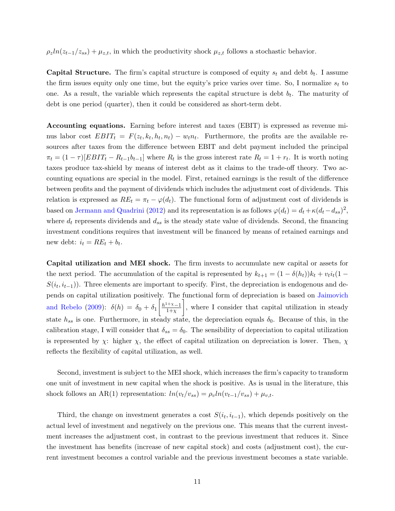$\rho_z ln(z_{t-1}/z_{ss}) + \mu_{z,t}$ , in which the productivity shock  $\mu_{z,t}$  follows a stochastic behavior.

**Capital Structure.** The firm's capital structure is composed of equity  $s_t$  and debt  $b_t$ . I assume the firm issues equity only one time, but the equity's price varies over time. So, I normalize  $s_t$  to one. As a result, the variable which represents the capital structure is debt  $b_t$ . The maturity of debt is one period (quarter), then it could be considered as short-term debt.

Accounting equations. Earning before interest and taxes (EBIT) is expressed as revenue minus labor cost  $EBIT_t = F(z_t, k_t, h_t, n_t) - w_t n_t$ . Furthermore, the profits are the available resources after taxes from the difference between EBIT and debt payment included the principal  $\pi_t = (1 - \tau)[EBIT_t - R_{t-1}b_{t-1}]$  where  $R_t$  is the gross interest rate  $R_t = 1 + r_t$ . It is worth noting taxes produce tax-shield by means of interest debt as it claims to the trade-off theory. Two accounting equations are special in the model. First, retained earnings is the result of the difference between profits and the payment of dividends which includes the adjustment cost of dividends. This relation is expressed as  $RE_t = \pi_t - \varphi(d_t)$ . The functional form of adjustment cost of dividends is based on [Jermann and Quadrini](#page-22-2) [\(2012\)](#page-22-2) and its representation is as follows  $\varphi(d_t) = d_t + \kappa(d_t - d_{ss})^2$ , where  $d_t$  represents dividends and  $d_{ss}$  is the steady state value of dividends. Second, the financing investment conditions requires that investment will be financed by means of retained earnings and new debt:  $i_t = RE_t + b_t$ .

Capital utilization and MEI shock. The firm invests to accumulate new capital or assets for the next period. The accumulation of the capital is represented by  $k_{t+1} = (1 - \delta(h_t))k_t + v_t i_t(1 S(i_t, i_{t-1})$ ). Three elements are important to specify. First, the depreciation is endogenous and depends on capital utilization positively. The functional form of depreciation is based on [Jaimovich](#page-22-4) [and Rebelo](#page-22-4) [\(2009\)](#page-22-4):  $\delta(h) = \delta_0 + \delta_1 \left[ \frac{h^{1+\chi}-1}{1+\chi} \right]$  $1+\chi$  , where I consider that capital utilization in steady state  $h_{ss}$  is one. Furthermore, in steady state, the depreciation equals  $\delta_0$ . Because of this, in the calibration stage, I will consider that  $\delta_{ss} = \delta_0$ . The sensibility of depreciation to capital utilization is represented by  $\chi$ : higher  $\chi$ , the effect of capital utilization on depreciation is lower. Then,  $\chi$ reflects the flexibility of capital utilization, as well.

Second, investment is subject to the MEI shock, which increases the firm's capacity to transform one unit of investment in new capital when the shock is positive. As is usual in the literature, this shock follows an AR(1) representation:  $ln(v_t/v_{ss}) = \rho_v ln(v_{t-1}/v_{ss}) + \mu_{v,t}$ .

Third, the change on investment generates a cost  $S(i_t, i_{t-1})$ , which depends positively on the actual level of investment and negatively on the previous one. This means that the current investment increases the adjustment cost, in contrast to the previous investment that reduces it. Since the investment has benefits (increase of new capital stock) and costs (adjustment cost), the current investment becomes a control variable and the previous investment becomes a state variable.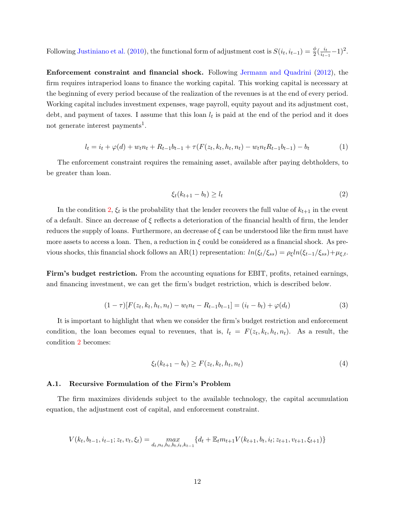Following [Justiniano et al.](#page-22-10) [\(2010\)](#page-22-10), the functional form of adjustment cost is  $S(i_t, i_{t-1}) = \frac{\phi}{2}(\frac{i_t}{i_{t-1}})$  $\frac{i_t}{i_{t-1}}-1)^2$ .

Enforcement constraint and financial shock. Following [Jermann and Quadrini](#page-22-2) [\(2012\)](#page-22-2), the firm requires intraperiod loans to finance the working capital. This working capital is necessary at the beginning of every period because of the realization of the revenues is at the end of every period. Working capital includes investment expenses, wage payroll, equity payout and its adjustment cost, debt, and payment of taxes. I assume that this loan  $l_t$  is paid at the end of the period and it does not generate interest payments<sup>1</sup>.

<span id="page-11-1"></span>
$$
l_t = i_t + \varphi(d) + w_t n_t + R_{t-1} b_{t-1} + \tau(F(z_t, k_t, h_t, n_t) - w_t n_t R_{t-1} b_{t-1}) - b_t
$$
\n(1)

The enforcement constraint requires the remaining asset, available after paying debtholders, to be greater than loan.

<span id="page-11-0"></span>
$$
\xi_t(k_{t+1} - b_t) \ge l_t \tag{2}
$$

In the condition [2,](#page-11-0)  $\xi_t$  is the probability that the lender recovers the full value of  $k_{t+1}$  in the event of a default. Since an decrease of  $\xi$  reflects a deterioration of the financial health of firm, the lender reduces the supply of loans. Furthermore, an decrease of  $\xi$  can be understood like the firm must have more assets to access a loan. Then, a reduction in  $\xi$  could be considered as a financial shock. As previous shocks, this financial shock follows an AR(1) representation:  $ln(\xi_t/\xi_{ss}) = \rho_{\xi} ln(\xi_{t-1}/\xi_{ss}) + \mu_{\xi,t}$ .

Firm's budget restriction. From the accounting equations for EBIT, profits, retained earnings, and financing investment, we can get the firm's budget restriction, which is described below.

$$
(1 - \tau)[F(z_t, k_t, h_t, n_t) - w_t n_t - R_{t-1} b_{t-1}] = (i_t - b_t) + \varphi(d_t)
$$
\n(3)

It is important to highlight that when we consider the firm's budget restriction and enforcement condition, the loan becomes equal to revenues, that is,  $l_t = F(z_t, k_t, h_t, n_t)$ . As a result, the condition [2](#page-11-0) becomes:

<span id="page-11-2"></span>
$$
\xi_t(k_{t+1} - b_t) \ge F(z_t, k_t, h_t, n_t)
$$
\n(4)

### A.1. Recursive Formulation of the Firm's Problem

The firm maximizes dividends subject to the available technology, the capital accumulation equation, the adjustment cost of capital, and enforcement constraint.

$$
V(k_t,b_{t-1},i_{t-1};z_t,v_t,\xi_t) = \max_{d_t,n_t,h_t,b_t,i_t,k_{t-1}} \{d_t + \mathbb{E}_t m_{t+1} V(k_{t+1},b_t,i_t;z_{t+1},v_{t+1},\xi_{t+1})\}
$$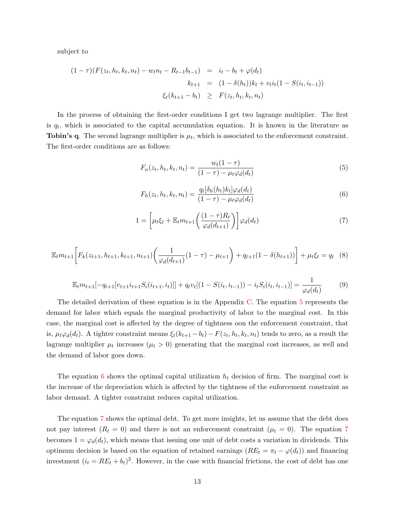subject to

<span id="page-12-0"></span>
$$
(1 - \tau)(F(z_t, h_t, k_t, n_t) - w_t n_t - R_{t-1} b_{t-1}) = i_t - b_t + \varphi(d_t)
$$
  

$$
k_{t+1} = (1 - \delta(h_t))k_t + v_t i_t (1 - S(i_t, i_{t-1}))
$$
  

$$
\xi_t(k_{t+1} - b_t) \geq F(z_t, h_t, k_t, n_t)
$$

In the process of obtaining the first-order conditions I get two lagrange multiplier. The first is  $q_t$ , which is associated to the capital accumulation equation. It is known in the literature as **Tobin's q.** The second lagrange multiplier is  $\mu_t$ , which is associated to the enforcement constraint. The first-order conditions are as follows:

$$
F_n(z_t, h_t, k_t, n_t) = \frac{w_t(1 - \tau)}{(1 - \tau) - \mu_t \varphi_d(d_t)}
$$
(5)

<span id="page-12-1"></span>
$$
F_h(z_t, h_t, k_t, n_t) = \frac{q_t[\delta_h(h_t)k_t]\varphi_d(d_t)}{(1-\tau) - \mu_t \varphi_d(d_t)}
$$
(6)

<span id="page-12-2"></span>
$$
1 = \left[\mu_t \xi_t + \mathbb{E}_t m_{t+1} \left(\frac{(1-\tau)R_t}{\varphi_d(d_{t+1})}\right)\right] \varphi_d(d_t) \tag{7}
$$

<span id="page-12-3"></span>
$$
\mathbb{E}_{t}m_{t+1}\bigg[F_{k}(z_{t+1},h_{t+1},k_{t+1},n_{t+1})\bigg(\frac{1}{\varphi_{d}(d_{t+1})}(1-\tau)-\mu_{t+1}\bigg)+q_{t+1}(1-\delta(h_{t+1}))\bigg]+\mu_{t}\xi_{t}=q_{t}(8)
$$

<span id="page-12-4"></span>
$$
\mathbb{E}_{t}m_{t+1}[-q_{t+1}[v_{t+1}i_{t+1}S_{i}(i_{t+1},i_{t})]] + q_{t}v_{t}[(1-S(i_{t},i_{t-1}))-i_{t}S_{i}(i_{t},i_{t-1})] = \frac{1}{\varphi_{d}(d_{t})}
$$
(9)

The detailed derivation of these equation is in the Appendix [C.](#page-9-0) The equation [5](#page-12-0) represents the demand for labor which equals the marginal productivity of labor to the marginal cost. In this case, the marginal cost is affected by the degree of tightness oon the enforcement constraint, that is,  $\mu_t \varphi_d(d_t)$ . A tighter constraint means  $\xi_t(k_{t+1} - b_t) - F(z_t, h_t, k_t, n_t)$  tends to zero, as a result the lagrange multiplier  $\mu_t$  increases  $(\mu_t > 0)$  generating that the marginal cost increases, as well and the demand of labor goes down.

The equation [6](#page-12-1) shows the optimal capital utilization  $h_t$  decision of firm. The marginal cost is the increase of the depreciation which is affected by the tightness of the enforcement constraint as labor demand. A tighter constraint reduces capital utilization.

The equation [7](#page-12-2) shows the optimal debt. To get more insights, let us assume that the debt does not pay interest  $(R_t = 0)$  and there is not an enforcement constraint  $(\mu_t = 0)$ . The equation [7](#page-12-2) becomes  $1 = \varphi_d(d_t)$ , which means that issuing one unit of debt costs a variation in dividends. This optimum decision is based on the equation of retained earnings  $(RE_t = \pi_t - \varphi(d_t))$  and financing investment  $(i_t = RE_t + b_t)^2$ . However, in the case with financial frictions, the cost of debt has one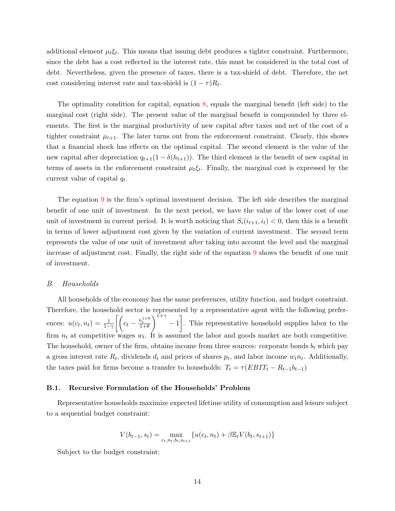additional element  $\mu_t \xi_t$ . This means that issuing debt produces a tighter constraint. Furthermore, since the debt has a cost reflected in the interest rate, this must be considered in the total cost of debt. Nevertheless, given the presence of taxes, there is a tax-shield of debt. Therefore, the net cost considering interest rate and tax-shield is  $(1 - \tau)R_t$ .

The optimality condition for capital, equation [8,](#page-12-3) equals the marginal benefit (left side) to the marginal cost (right side). The present value of the marginal benefit is compounded by three elements. The first is the marginal productivity of new capital after taxes and net of the cost of a tighter constraint  $\mu_{t+1}$ . The later turns out from the enforcement constraint. Clearly, this shows that a financial shock has effects on the optimal capital. The second element is the value of the new capital after depreciation  $q_{t+1}(1 - \delta(h_{t+1}))$ . The third element is the benefit of new capital in terms of assets in the enforcement constraint  $\mu_t \xi_t$ . Finally, the marginal cost is expressed by the current value of capital  $q_t$ .

The equation [9](#page-12-4) is the firm's optimal investment decision. The left side describes the marginal benefit of one unit of investment. In the next period, we have the value of the lower cost of one unit of investment in current period. It is worth noticing that  $S_i(i_{t+1}, i_t) < 0$ , then this is a benefit in terms of lower adjustment cost given by the variation of current investment. The second term represents the value of one unit of investment after taking into account the level and the marginal increase of adjustment cost. Finally, the right side of the equation [9](#page-12-4) shows the benefit of one unit of investment.

#### B. Households

All households of the economy has the same preferences, utility function, and budget constraint. Therefore, the household sector is represented by a representative agent with the following preferences:  $u(c_t, n_t) = \frac{1}{1-\gamma} \left[ \left( c_t - \frac{n_t^{1+\theta}}{1+\theta} \right) \right]$  $\int_{1+\gamma}^{1+\gamma}$  - 1. This representative household supplies labor to the firm  $n_t$  at competitive wages  $w_t$ . It is assumed the labor and goods market are both competitive. The household, owner of the firm, obtains income from three sources: corporate bonds  $b_t$  which pay a gross interest rate  $R_t$ , dividends  $d_t$  and prices of shares  $p_t$ , and labor income  $w_t n_t$ . Additionally, the taxes paid for firms become a transfer to households:  $T_t = \tau (EBIT_t - R_{t-1}b_{t-1})$ 

#### B.1. Recursive Formulation of the Households' Problem

Representative households maximize expected lifetime utility of consumption and leisure subject to a sequential budget constraint:

$$
V(b_{t-1}, s_t) = \max_{c_t, n_t, b_t, s_{t+1}} \{ u(c_t, n_t) + \beta \mathbb{E}_t V(b_t, s_{t+1}) \}
$$

Subject to the budget constraint: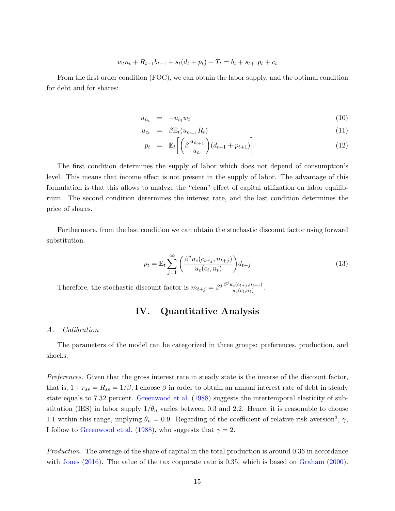$$
w_t n_t + R_{t-1} b_{t-1} + s_t (d_t + p_t) + T_t = b_t + s_{t+1} p_t + c_t
$$

From the first order condition (FOC), we can obtain the labor supply, and the optimal condition for debt and for shares:

$$
u_{n_t} = -u_{c_t} w_t \tag{10}
$$

$$
u_{c_t} = \beta \mathbb{E}_t (u_{c_{t+1}} R_t) \tag{11}
$$

$$
p_t = \mathbb{E}_t \left[ \left( \beta \frac{u_{c_{t+1}}}{u_{c_t}} \right) (d_{t+1} + p_{t+1}) \right] \tag{12}
$$

The first condition determines the supply of labor which does not depend of consumption's level. This means that income effect is not present in the supply of labor. The advantage of this formulation is that this allows to analyze the "clean" effect of capital utilization on labor equilibrium. The second condition determines the interest rate, and the last condition determines the price of shares.

Furthermore, from the last condition we can obtain the stochastic discount factor using forward substitution.

$$
p_t = \mathbb{E}_t \sum_{j=1}^{\infty} \left( \frac{\beta^j u_c(c_{t+j}, n_{t+j})}{u_c(c_t, n_t)} \right) d_{t+j}
$$
\n(13)

Therefore, the stochastic discount factor is  $m_{t+j} = \beta^j \frac{\beta^j u_c (c_{t+j}, n_{t+j})}{u_c (c_t, n_t)}$  $\frac{c(c_{t+j}, n_{t+j})}{u_c(c_t, n_t)}$ .

# IV. Quantitative Analysis

## A. Calibration

The parameters of the model can be categorized in three groups: preferences, production, and shocks.

Preferences. Given that the gross interest rate in steady state is the inverse of the discount factor, that is,  $1 + r_{ss} = R_{ss} = 1/\beta$ , I choose  $\beta$  in order to obtain an annual interest rate of debt in steady state equals to 7.32 percent. [Greenwood et al.](#page-22-3) [\(1988\)](#page-22-3) suggests the intertemporal elasticity of substitution (IES) in labor supply  $1/\theta_n$  varies between 0.3 and 2.2. Hence, it is reasonable to choose 1.1 within this range, implying  $\theta_n = 0.9$ . Regarding of the coefficient of relative risk aversion<sup>3</sup>,  $\gamma$ , I follow to [Greenwood et al.](#page-22-3) [\(1988\)](#page-22-3), who suggests that  $\gamma = 2$ .

Production. The average of the share of capital in the total production is around 0.36 in accordance with [Jones](#page-22-11) [\(2016\)](#page-22-11). The value of the tax corporate rate is 0.35, which is based on [Graham](#page-22-12) [\(2000\)](#page-22-12).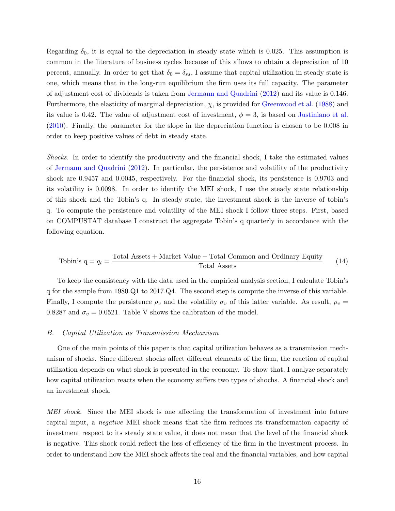Regarding  $\delta_0$ , it is equal to the depreciation in steady state which is 0.025. This assumption is common in the literature of business cycles because of this allows to obtain a depreciation of 10 percent, annually. In order to get that  $\delta_0 = \delta_{ss}$ , I assume that capital utilization in steady state is one, which means that in the long-run equilibrium the firm uses its full capacity. The parameter of adjustment cost of dividends is taken from [Jermann and Quadrini](#page-22-2) [\(2012\)](#page-22-2) and its value is 0.146. Furthermore, the elasticity of marginal depreciation,  $\chi$ , is provided for [Greenwood et al.](#page-22-3) [\(1988\)](#page-22-3) and its value is 0.42. The value of adjustment cost of investment,  $\phi = 3$ , is based on [Justiniano et al.](#page-22-10) [\(2010\)](#page-22-10). Finally, the parameter for the slope in the depreciation function is chosen to be 0.008 in order to keep positive values of debt in steady state.

Shocks. In order to identify the productivity and the financial shock, I take the estimated values of [Jermann and Quadrini](#page-22-2) [\(2012\)](#page-22-2). In particular, the persistence and volatility of the productivity shock are 0.9457 and 0.0045, respectively. For the financial shock, its persistence is 0.9703 and its volatility is 0.0098. In order to identify the MEI shock, I use the steady state relationship of this shock and the Tobin's q. In steady state, the investment shock is the inverse of tobin's q. To compute the persistence and volatility of the MEI shock I follow three steps. First, based on COMPUSTAT database I construct the aggregate Tobin's q quarterly in accordance with the following equation.

Tobin's 
$$
q = q_t = \frac{\text{Total Assets} + \text{Market Value} - \text{Total Common and Ordinary Equity}}{\text{Total Assets}}
$$

\n(14)

To keep the consistency with the data used in the empirical analysis section, I calculate Tobin's q for the sample from 1980.Q1 to 2017.Q4. The second step is compute the inverse of this variable. Finally, I compute the persistence  $\rho_v$  and the volatility  $\sigma_v$  of this latter variable. As result,  $\rho_v =$ 0.8287 and  $\sigma_v = 0.0521$ . Table V shows the calibration of the model.

### B. Capital Utilization as Transmission Mechanism

One of the main points of this paper is that capital utilization behaves as a transmission mechanism of shocks. Since different shocks affect different elements of the firm, the reaction of capital utilization depends on what shock is presented in the economy. To show that, I analyze separately how capital utilization reacts when the economy suffers two types of shochs. A financial shock and an investment shock.

MEI shock. Since the MEI shock is one affecting the transformation of investment into future capital input, a negative MEI shock means that the firm reduces its transformation capacity of investment respect to its steady state value, it does not mean that the level of the financial shock is negative. This shock could reflect the loss of efficiency of the firm in the investment process. In order to understand how the MEI shock affects the real and the financial variables, and how capital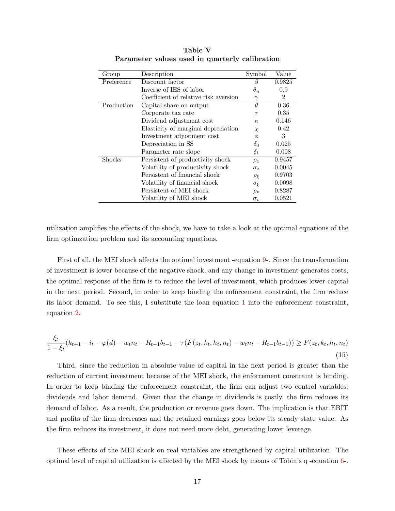| Group         | Description                           | Symbol                 | Value          |
|---------------|---------------------------------------|------------------------|----------------|
| Preference    | Discount factor                       | ß                      | 0.9825         |
|               | Inverse of IES of labor               | $\theta_n$             | 0.9            |
|               | Coefficient of relative risk aversion | $\gamma$               | $\overline{2}$ |
| Production    | Capital share on output               | $\theta$               | 0.36           |
|               | Corporate tax rate                    | $\tau$                 | 0.35           |
|               | Dividend adjustment cost              | $\kappa$               | 0.146          |
|               | Elasticity of marginal depreciation   | $\chi$                 | 0.42           |
|               | Investment adjustment cost            | $\phi$                 | 3              |
|               | Depreciation in SS                    | $\delta_0$             | 0.025          |
|               | Parameter rate slope                  | $\delta_1$             | 0.008          |
| <b>Shocks</b> | Persistent of productivity shock      | $\rho_z$               | 0.9457         |
|               | Volatility of productivity shock      | $\sigma_{\varepsilon}$ | 0.0045         |
|               | Persistent of financial shock         | $\rho_{\mathcal{E}}$   | 0.9703         |
|               | Volatility of financial shock         | $\sigma_{\xi}$         | 0.0098         |
|               | Persistent of MEI shock               | $\rho_v$               | 0.8287         |
|               | Volatility of MEI shock               | $\sigma_v$             | 0.0521         |

Table V Parameter values used in quarterly calibration

utilization amplifies the effects of the shock, we have to take a look at the optimal equations of the firm optimzation problem and its accounting equations.

First of all, the MEI shock affects the optimal investment -equation [9-](#page-12-4). Since the transformation of investment is lower because of the negative shock, and any change in investment generates costs, the optimal response of the firm is to reduce the level of investment, which produces lower capital in the next period. Second, in order to keep binding the enforcement constraint, the firm reduce its labor demand. To see this, I substitute the loan equation [1](#page-11-1) into the enforcement constraint, equation [2.](#page-11-0)

<span id="page-16-0"></span>
$$
\frac{\xi_t}{1 - \xi_t}(k_{t+1} - i_t - \varphi(d) - w_t n_t - R_{t-1} b_{t-1} - \tau(F(z_t, k_t, h_t, n_t) - w_t n_t - R_{t-1} b_{t-1})) \ge F(z_t, k_t, h_t, n_t)
$$
\n(15)

Third, since the reduction in absolute value of capital in the next period is greater than the reduction of current investment because of the MEI shock, the enforcement constraint is binding. In order to keep binding the enforcement constraint, the firm can adjust two control variables: dividends and labor demand. Given that the change in dividends is costly, the firm reduces its demand of labor. As a result, the production or revenue goes down. The implication is that EBIT and profits of the firm decreases and the retained earnings goes below its steady state value. As the firm reduces its investment, it does not need more debt, generating lower leverage.

These effects of the MEI shock on real variables are strengthened by capital utilization. The optimal level of capital utilization is affected by the MEI shock by means of Tobin's q -equation [6-](#page-12-1).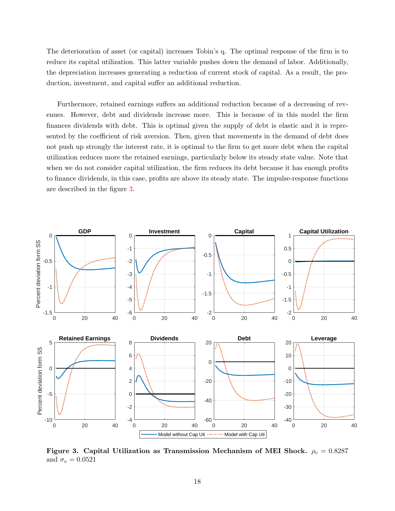The deterioration of asset (or capital) increases Tobin's q. The optimal response of the firm is to reduce its capital utilization. This latter variable pushes down the demand of labor. Additionally, the depreciation increases generating a reduction of current stock of capital. As a result, the production, investment, and capital suffer an additional reduction.

Furthermore, retained earnings suffers an additional reduction because of a decreasing of revenues. However, debt and dividends increase more. This is because of in this model the firm finances dividends with debt. This is optimal given the supply of debt is elastic and it is represented by the coefficient of risk aversion. Then, given that movements in the demand of debt does not push up strongly the interest rate, it is optimal to the firm to get more debt when the capital utilization reduces more the retained earnings, particularly below its steady state value. Note that when we do not consider capital utilization, the firm reduces its debt because it has enough profits to finance dividends, in this case, profits are above its steady state. The impulse-response functions are described in the figure [3.](#page-17-0)

<span id="page-17-0"></span>

Figure 3. Capital Utilization as Transmission Mechanism of MEI Shock.  $\rho_v = 0.8287$ and  $\sigma_v = 0.0521$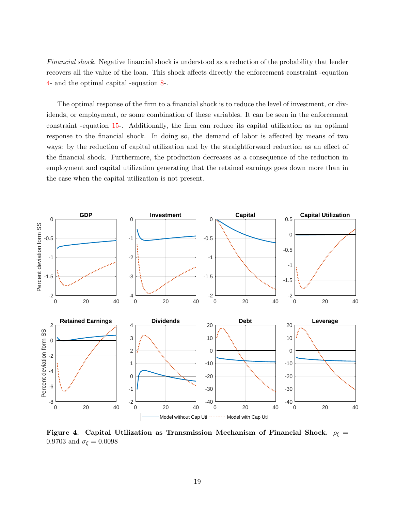Financial shock. Negative financial shock is understood as a reduction of the probability that lender recovers all the value of the loan. This shock affects directly the enforcement constraint -equation [4-](#page-11-2) and the optimal capital -equation [8-](#page-12-3).

The optimal response of the firm to a financial shock is to reduce the level of investment, or dividends, or employment, or some combination of these variables. It can be seen in the enforcement constraint -equation [15-](#page-16-0). Additionally, the firm can reduce its capital utilization as an optimal response to the financial shock. In doing so, the demand of labor is affected by means of two ways: by the reduction of capital utilization and by the straightforward reduction as an effect of the financial shock. Furthermore, the production decreases as a consequence of the reduction in employment and capital utilization generating that the retained earnings goes down more than in the case when the capital utilization is not present.



Figure 4. Capital Utilization as Transmission Mechanism of Financial Shock.  $\rho_{\xi} =$ 0.9703 and  $\sigma_{\xi} = 0.0098$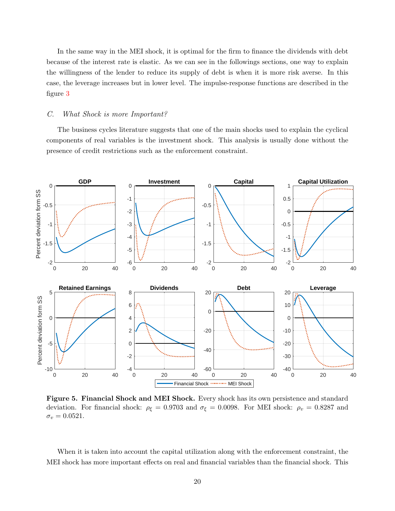In the same way in the MEI shock, it is optimal for the firm to finance the dividends with debt because of the interest rate is elastic. As we can see in the followings sections, one way to explain the willingness of the lender to reduce its supply of debt is when it is more risk averse. In this case, the leverage increases but in lower level. The impulse-response functions are described in the figure [3](#page-17-0)

## C. What Shock is more Important?

The business cycles literature suggests that one of the main shocks used to explain the cyclical components of real variables is the investment shock. This analysis is usually done without the presence of credit restrictions such as the enforcement constraint.

<span id="page-19-0"></span>

Figure 5. Financial Shock and MEI Shock. Every shock has its own persistence and standard deviation. For financial shock:  $\rho_{\xi} = 0.9703$  and  $\sigma_{\xi} = 0.0098$ . For MEI shock:  $\rho_{v} = 0.8287$  and  $\sigma_v = 0.0521.$ 

When it is taken into account the capital utilization along with the enforcement constraint, the MEI shock has more important effects on real and financial variables than the financial shock. This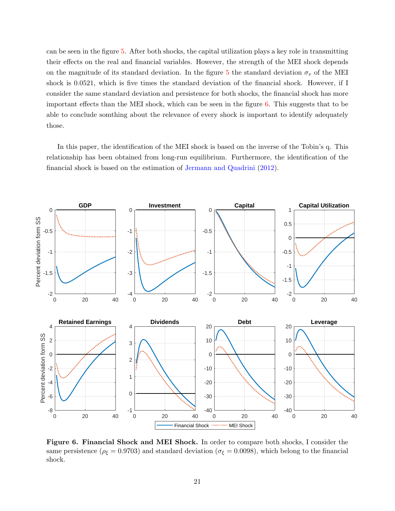can be seen in the figure [5.](#page-19-0) After both shocks, the capital utilization plays a key role in transmitting their effects on the real and financial variables. However, the strength of the MEI shock depends on the magnitude of its standard deviation. In the figure [5](#page-19-0) the standard deviation  $\sigma_v$  of the MEI shock is 0.0521, which is five times the standard deviation of the financial shock. However, if I consider the same standard deviation and persistence for both shocks, the financial shock has more important effects than the MEI shock, which can be seen in the figure  $6$ . This suggests that to be able to conclude somthing about the relevance of every shock is important to identify adequately those.

In this paper, the identification of the MEI shock is based on the inverse of the Tobin's q. This relationship has been obtained from long-run equilibrium. Furthermore, the identification of the financial shock is based on the estimation of [Jermann and Quadrini](#page-22-2) [\(2012\)](#page-22-2).

<span id="page-20-0"></span>

Figure 6. Financial Shock and MEI Shock. In order to compare both shocks, I consider the same persistence ( $\rho_{\xi} = 0.9703$ ) and standard deviation ( $\sigma_{\xi} = 0.0098$ ), which belong to the financial shock.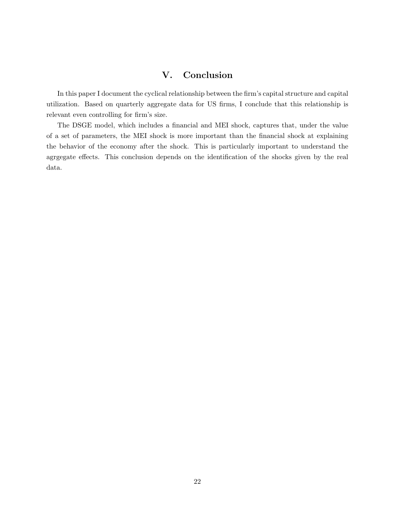# V. Conclusion

In this paper I document the cyclical relationship between the firm's capital structure and capital utilization. Based on quarterly aggregate data for US firms, I conclude that this relationship is relevant even controlling for firm's size.

The DSGE model, which includes a financial and MEI shock, captures that, under the value of a set of parameters, the MEI shock is more important than the financial shock at explaining the behavior of the economy after the shock. This is particularly important to understand the agrgegate effects. This conclusion depends on the identification of the shocks given by the real data.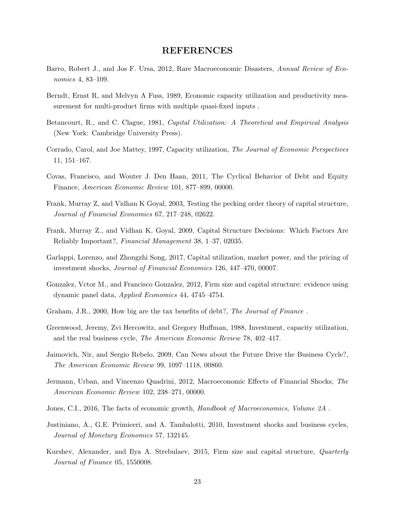## REFERENCES

- <span id="page-22-13"></span>Barro, Robert J., and Jos F. Ursa, 2012, Rare Macroeconomic Disasters, Annual Review of Economics 4, 83–109.
- Berndt, Ernst R, and Melvyn A Fuss, 1989, Economic capacity utilization and productivity measurement for multi-product firms with multiple quasi-fixed inputs .
- <span id="page-22-0"></span>Betancourt, R., and C. Clague, 1981, Capital Utilization: A Theoretical and Empirical Analysis (New York: Cambridge University Press).
- Corrado, Carol, and Joe Mattey, 1997, Capacity utilization, The Journal of Economic Perspectives 11, 151–167.
- <span id="page-22-6"></span>Covas, Francisco, and Wouter J. Den Haan, 2011, The Cyclical Behavior of Debt and Equity Finance, American Economic Review 101, 877–899, 00000.
- <span id="page-22-9"></span>Frank, Murray Z, and Vidhan K Goyal, 2003, Testing the pecking order theory of capital structure, Journal of Financial Economics 67, 217–248, 02622.
- <span id="page-22-1"></span>Frank, Murray Z., and Vidhan K. Goyal, 2009, Capital Structure Decisions: Which Factors Are Reliably Important?, Financial Management 38, 1–37, 02035.
- <span id="page-22-5"></span>Garlappi, Lorenzo, and Zhongzhi Song, 2017, Capital utilization, market power, and the pricing of investment shocks, Journal of Financial Economics 126, 447–470, 00007.
- <span id="page-22-7"></span>Gonzalez, Vctor M., and Francisco Gonzalez, 2012, Firm size and capital structure: evidence using dynamic panel data, Applied Economics 44, 4745–4754.
- <span id="page-22-12"></span>Graham, J.R., 2000, How big are the tax benefits of debt?, The Journal of Finance.
- <span id="page-22-3"></span>Greenwood, Jeremy, Zvi Hercowitz, and Gregory Huffman, 1988, Investment, capacity utilization, and the real business cycle, The American Economic Review 78, 402–417.
- <span id="page-22-4"></span>Jaimovich, Nir, and Sergio Rebelo, 2009, Can News about the Future Drive the Business Cycle?, The American Economic Review 99, 1097–1118, 00860.
- <span id="page-22-2"></span>Jermann, Urban, and Vincenzo Quadrini, 2012, Macroeconomic Effects of Financial Shocks, The American Economic Review 102, 238–271, 00000.
- <span id="page-22-11"></span>Jones, C.I., 2016, The facts of economic growth, Handbook of Macroeconomics, Volume 2A.
- <span id="page-22-10"></span>Justiniano, A., G.E. Primiceri, and A. Tambalotti, 2010, Investment shocks and business cycles, Journal of Monetary Economics 57, 132145.
- <span id="page-22-8"></span>Kurshev, Alexander, and Ilya A. Strebulaev, 2015, Firm size and capital structure, Quarterly Journal of Finance 05, 1550008.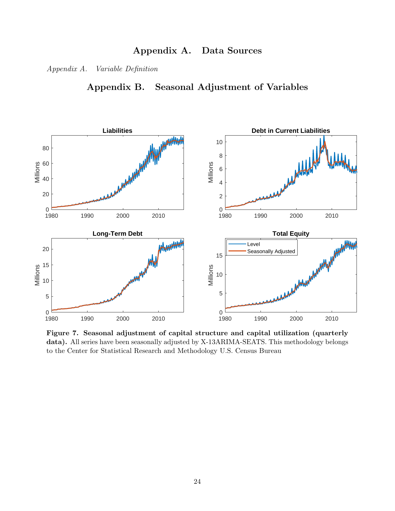# Appendix A. Data Sources

Appendix A. Variable Definition

Appendix B. Seasonal Adjustment of Variables



Figure 7. Seasonal adjustment of capital structure and capital utilization (quarterly data). All series have been seasonally adjusted by X-13ARIMA-SEATS. This methodology belongs to the Center for Statistical Research and Methodology U.S. Census Bureau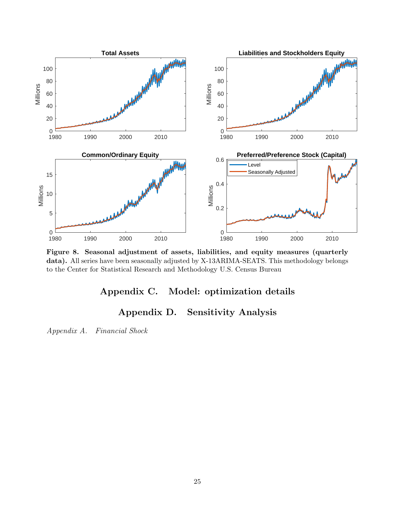

Figure 8. Seasonal adjustment of assets, liabilities, and equity measures (quarterly data). All series have been seasonally adjusted by X-13ARIMA-SEATS. This methodology belongs to the Center for Statistical Research and Methodology U.S. Census Bureau

# Appendix C. Model: optimization details

# Appendix D. Sensitivity Analysis

Appendix A. Financial Shock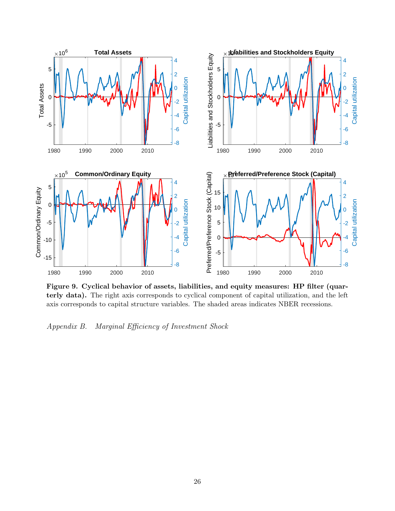

Figure 9. Cyclical behavior of assets, liabilities, and equity measures: HP filter (quarterly data). The right axis corresponds to cyclical component of capital utilization, and the left axis corresponds to capital structure variables. The shaded areas indicates NBER recessions.

Appendix B. Marginal Efficiency of Investment Shock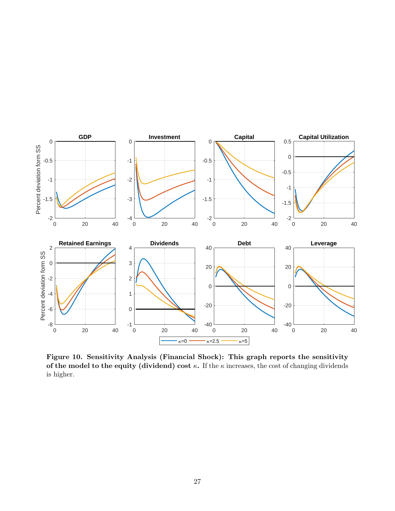

Figure 10. Sensitivity Analysis (Financial Shock): This graph reports the sensitivity of the model to the equity (dividend) cost  $\kappa$ . If the  $\kappa$  increases, the cost of changing dividends is higher.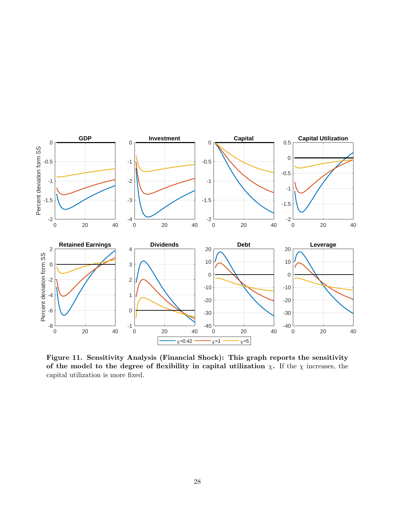

Figure 11. Sensitivity Analysis (Financial Shock): This graph reports the sensitivity of the model to the degree of flexibility in capital utilization  $\chi$ . If the  $\chi$  increases, the capital utilization is more fixed.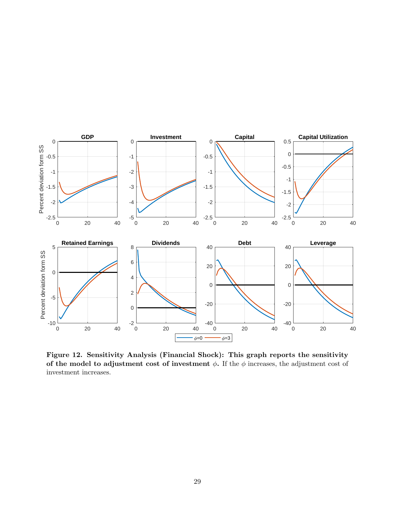

Figure 12. Sensitivity Analysis (Financial Shock): This graph reports the sensitivity of the model to adjustment cost of investment  $\phi$ . If the  $\phi$  increases, the adjustment cost of investment increases.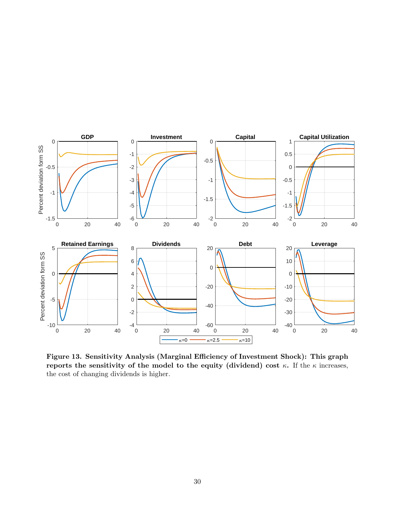

Figure 13. Sensitivity Analysis (Marginal Efficiency of Investment Shock): This graph reports the sensitivity of the model to the equity (dividend) cost  $\kappa$ . If the  $\kappa$  increases, the cost of changing dividends is higher.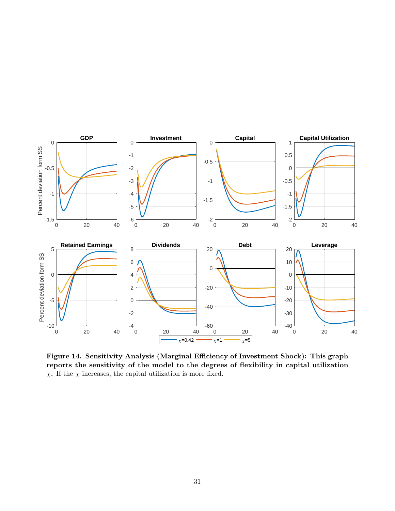

Figure 14. Sensitivity Analysis (Marginal Efficiency of Investment Shock): This graph reports the sensitivity of the model to the degrees of flexibility in capital utilization  $\chi.$  If the  $\chi$  increases, the capital utilization is more fixed.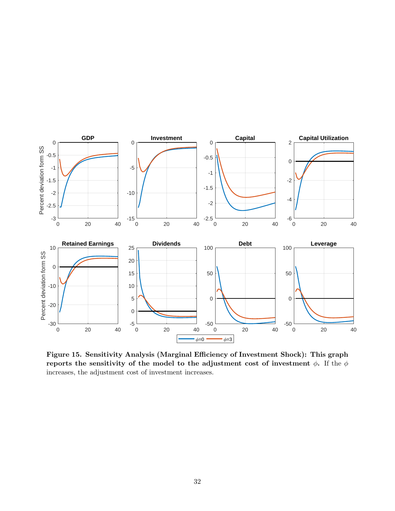

Figure 15. Sensitivity Analysis (Marginal Efficiency of Investment Shock): This graph reports the sensitivity of the model to the adjustment cost of investment  $\phi$ . If the  $\phi$ increases, the adjustment cost of investment increases.